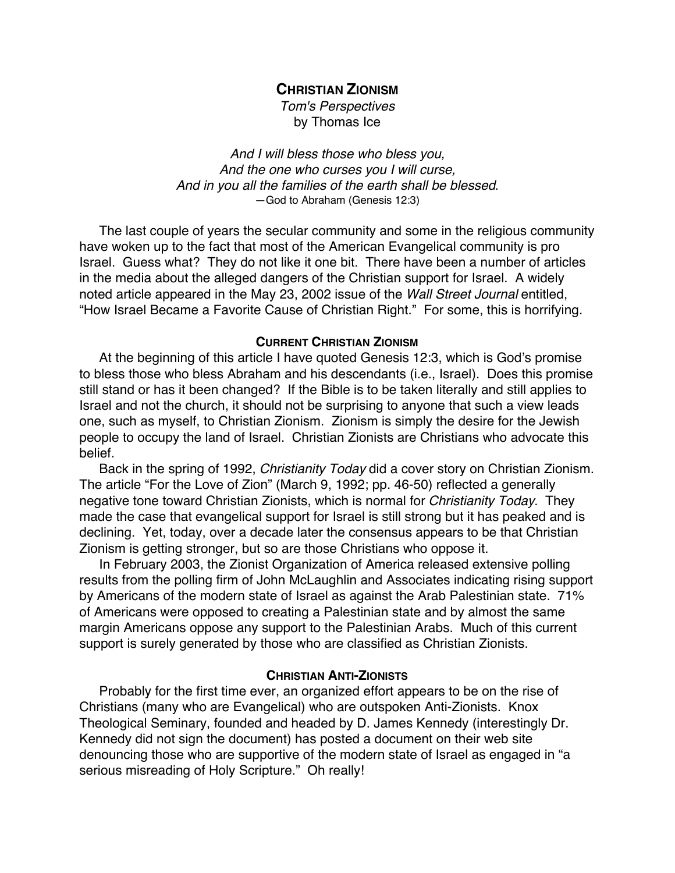**CHRISTIAN ZIONISM**

Tom's Perspectives by Thomas Ice

And I will bless those who bless you, And the one who curses you I will curse, And in you all the families of the earth shall be blessed. —God to Abraham (Genesis 12:3)

The last couple of years the secular community and some in the religious community have woken up to the fact that most of the American Evangelical community is pro Israel. Guess what? They do not like it one bit. There have been a number of articles in the media about the alleged dangers of the Christian support for Israel. A widely noted article appeared in the May 23, 2002 issue of the Wall Street Journal entitled, "How Israel Became a Favorite Cause of Christian Right." For some, this is horrifying.

## **CURRENT CHRISTIAN ZIONISM**

At the beginning of this article I have quoted Genesis 12:3, which is God's promise to bless those who bless Abraham and his descendants (i.e., Israel). Does this promise still stand or has it been changed? If the Bible is to be taken literally and still applies to Israel and not the church, it should not be surprising to anyone that such a view leads one, such as myself, to Christian Zionism. Zionism is simply the desire for the Jewish people to occupy the land of Israel. Christian Zionists are Christians who advocate this belief.

Back in the spring of 1992, Christianity Today did a cover story on Christian Zionism. The article "For the Love of Zion" (March 9, 1992; pp. 46-50) reflected a generally negative tone toward Christian Zionists, which is normal for Christianity Today. They made the case that evangelical support for Israel is still strong but it has peaked and is declining. Yet, today, over a decade later the consensus appears to be that Christian Zionism is getting stronger, but so are those Christians who oppose it.

In February 2003, the Zionist Organization of America released extensive polling results from the polling firm of John McLaughlin and Associates indicating rising support by Americans of the modern state of Israel as against the Arab Palestinian state. 71% of Americans were opposed to creating a Palestinian state and by almost the same margin Americans oppose any support to the Palestinian Arabs. Much of this current support is surely generated by those who are classified as Christian Zionists.

## **CHRISTIAN ANTI-ZIONISTS**

Probably for the first time ever, an organized effort appears to be on the rise of Christians (many who are Evangelical) who are outspoken Anti-Zionists. Knox Theological Seminary, founded and headed by D. James Kennedy (interestingly Dr. Kennedy did not sign the document) has posted a document on their web site denouncing those who are supportive of the modern state of Israel as engaged in "a serious misreading of Holy Scripture." Oh really!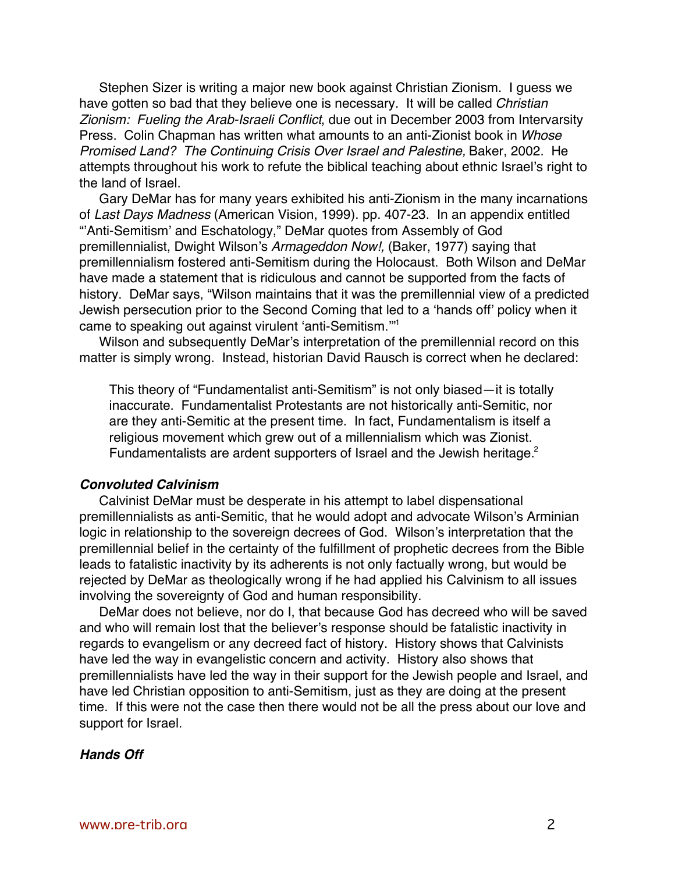Stephen Sizer is writing a major new book against Christian Zionism. I guess we have gotten so bad that they believe one is necessary. It will be called Christian Zionism: Fueling the Arab-Israeli Conflict, due out in December 2003 from Intervarsity Press. Colin Chapman has written what amounts to an anti-Zionist book in Whose Promised Land? The Continuing Crisis Over Israel and Palestine, Baker, 2002. He attempts throughout his work to refute the biblical teaching about ethnic Israel's right to the land of Israel.

Gary DeMar has for many years exhibited his anti-Zionism in the many incarnations of Last Days Madness (American Vision, 1999). pp. 407-23. In an appendix entitled "'Anti-Semitism' and Eschatology," DeMar quotes from Assembly of God premillennialist, Dwight Wilson's Armageddon Now!, (Baker, 1977) saying that premillennialism fostered anti-Semitism during the Holocaust. Both Wilson and DeMar have made a statement that is ridiculous and cannot be supported from the facts of history. DeMar says, "Wilson maintains that it was the premillennial view of a predicted Jewish persecution prior to the Second Coming that led to a 'hands off' policy when it came to speaking out against virulent 'anti-Semitism.'"1

Wilson and subsequently DeMar's interpretation of the premillennial record on this matter is simply wrong. Instead, historian David Rausch is correct when he declared:

This theory of "Fundamentalist anti-Semitism" is not only biased—it is totally inaccurate. Fundamentalist Protestants are not historically anti-Semitic, nor are they anti-Semitic at the present time. In fact, Fundamentalism is itself a religious movement which grew out of a millennialism which was Zionist. Fundamentalists are ardent supporters of Israel and the Jewish heritage.<sup>2</sup>

## **Convoluted Calvinism**

Calvinist DeMar must be desperate in his attempt to label dispensational premillennialists as anti-Semitic, that he would adopt and advocate Wilson's Arminian logic in relationship to the sovereign decrees of God. Wilson's interpretation that the premillennial belief in the certainty of the fulfillment of prophetic decrees from the Bible leads to fatalistic inactivity by its adherents is not only factually wrong, but would be rejected by DeMar as theologically wrong if he had applied his Calvinism to all issues involving the sovereignty of God and human responsibility.

DeMar does not believe, nor do I, that because God has decreed who will be saved and who will remain lost that the believer's response should be fatalistic inactivity in regards to evangelism or any decreed fact of history. History shows that Calvinists have led the way in evangelistic concern and activity. History also shows that premillennialists have led the way in their support for the Jewish people and Israel, and have led Christian opposition to anti-Semitism, just as they are doing at the present time. If this were not the case then there would not be all the press about our love and support for Israel.

## **Hands Off**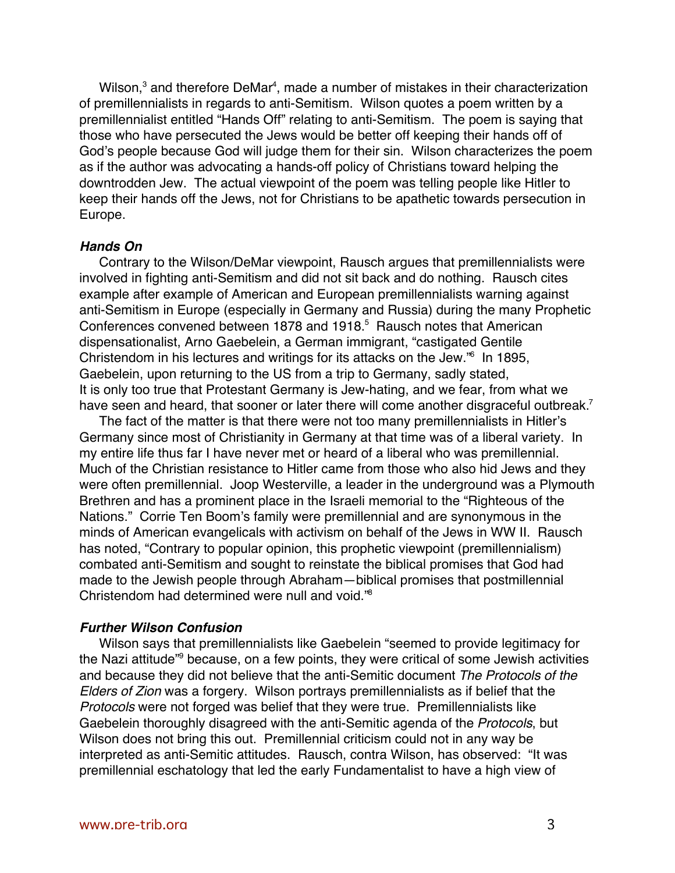Wilson, $^3$  and therefore DeMar<sup>4</sup>, made a number of mistakes in their characterization of premillennialists in regards to anti-Semitism. Wilson quotes a poem written by a premillennialist entitled "Hands Off" relating to anti-Semitism. The poem is saying that those who have persecuted the Jews would be better off keeping their hands off of God's people because God will judge them for their sin. Wilson characterizes the poem as if the author was advocating a hands-off policy of Christians toward helping the downtrodden Jew. The actual viewpoint of the poem was telling people like Hitler to keep their hands off the Jews, not for Christians to be apathetic towards persecution in Europe.

#### **Hands On**

Contrary to the Wilson/DeMar viewpoint, Rausch argues that premillennialists were involved in fighting anti-Semitism and did not sit back and do nothing. Rausch cites example after example of American and European premillennialists warning against anti-Semitism in Europe (especially in Germany and Russia) during the many Prophetic Conferences convened between 1878 and 1918.<sup>5</sup> Rausch notes that American dispensationalist, Arno Gaebelein, a German immigrant, "castigated Gentile Christendom in his lectures and writings for its attacks on the Jew."6 In 1895, Gaebelein, upon returning to the US from a trip to Germany, sadly stated, It is only too true that Protestant Germany is Jew-hating, and we fear, from what we have seen and heard, that sooner or later there will come another disgraceful outbreak.<sup>7</sup>

The fact of the matter is that there were not too many premillennialists in Hitler's Germany since most of Christianity in Germany at that time was of a liberal variety. In my entire life thus far I have never met or heard of a liberal who was premillennial. Much of the Christian resistance to Hitler came from those who also hid Jews and they were often premillennial. Joop Westerville, a leader in the underground was a Plymouth Brethren and has a prominent place in the Israeli memorial to the "Righteous of the Nations." Corrie Ten Boom's family were premillennial and are synonymous in the minds of American evangelicals with activism on behalf of the Jews in WW II. Rausch has noted, "Contrary to popular opinion, this prophetic viewpoint (premillennialism) combated anti-Semitism and sought to reinstate the biblical promises that God had made to the Jewish people through Abraham—biblical promises that postmillennial Christendom had determined were null and void."8

#### **Further Wilson Confusion**

Wilson says that premillennialists like Gaebelein "seemed to provide legitimacy for the Nazi attitude"<sup>9</sup> because, on a few points, they were critical of some Jewish activities and because they did not believe that the anti-Semitic document The Protocols of the Elders of Zion was a forgery. Wilson portrays premillennialists as if belief that the Protocols were not forged was belief that they were true. Premillennialists like Gaebelein thoroughly disagreed with the anti-Semitic agenda of the Protocols, but Wilson does not bring this out. Premillennial criticism could not in any way be interpreted as anti-Semitic attitudes. Rausch, contra Wilson, has observed: "It was premillennial eschatology that led the early Fundamentalist to have a high view of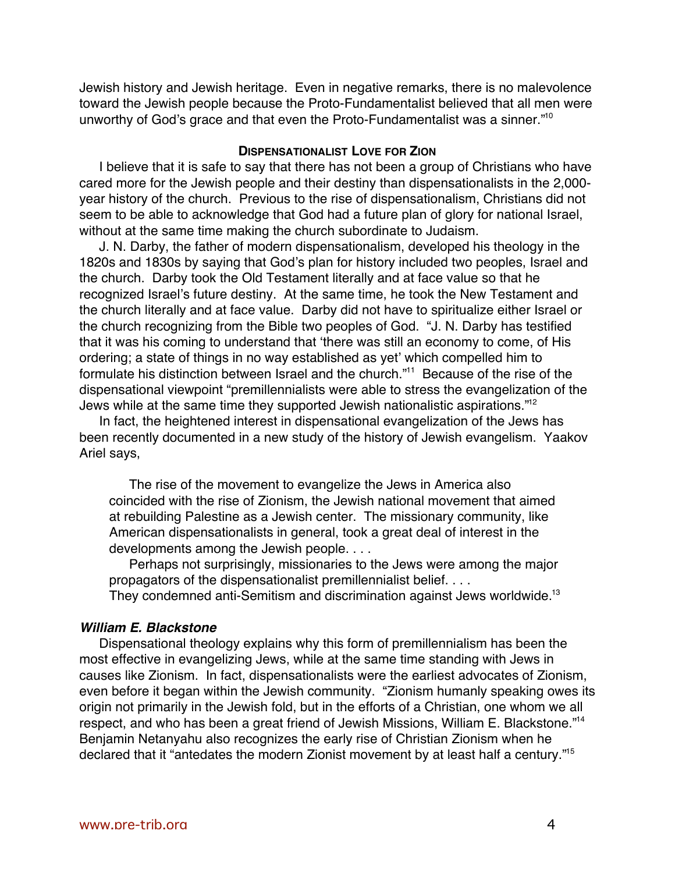Jewish history and Jewish heritage. Even in negative remarks, there is no malevolence toward the Jewish people because the Proto-Fundamentalist believed that all men were unworthy of God's grace and that even the Proto-Fundamentalist was a sinner."<sup>10</sup>

## **DISPENSATIONALIST LOVE FOR ZION**

I believe that it is safe to say that there has not been a group of Christians who have cared more for the Jewish people and their destiny than dispensationalists in the 2,000 year history of the church. Previous to the rise of dispensationalism, Christians did not seem to be able to acknowledge that God had a future plan of glory for national Israel, without at the same time making the church subordinate to Judaism.

J. N. Darby, the father of modern dispensationalism, developed his theology in the 1820s and 1830s by saying that God's plan for history included two peoples, Israel and the church. Darby took the Old Testament literally and at face value so that he recognized Israel's future destiny. At the same time, he took the New Testament and the church literally and at face value. Darby did not have to spiritualize either Israel or the church recognizing from the Bible two peoples of God. "J. N. Darby has testified that it was his coming to understand that 'there was still an economy to come, of His ordering; a state of things in no way established as yet' which compelled him to formulate his distinction between Israel and the church."<sup>11</sup> Because of the rise of the dispensational viewpoint "premillennialists were able to stress the evangelization of the Jews while at the same time they supported Jewish nationalistic aspirations."12

In fact, the heightened interest in dispensational evangelization of the Jews has been recently documented in a new study of the history of Jewish evangelism. Yaakov Ariel says,

The rise of the movement to evangelize the Jews in America also coincided with the rise of Zionism, the Jewish national movement that aimed at rebuilding Palestine as a Jewish center. The missionary community, like American dispensationalists in general, took a great deal of interest in the developments among the Jewish people. . . .

Perhaps not surprisingly, missionaries to the Jews were among the major propagators of the dispensationalist premillennialist belief. . . .

They condemned anti-Semitism and discrimination against Jews worldwide.<sup>13</sup>

# **William E. Blackstone**

Dispensational theology explains why this form of premillennialism has been the most effective in evangelizing Jews, while at the same time standing with Jews in causes like Zionism. In fact, dispensationalists were the earliest advocates of Zionism, even before it began within the Jewish community. "Zionism humanly speaking owes its origin not primarily in the Jewish fold, but in the efforts of a Christian, one whom we all respect, and who has been a great friend of Jewish Missions, William E. Blackstone."14 Benjamin Netanyahu also recognizes the early rise of Christian Zionism when he declared that it "antedates the modern Zionist movement by at least half a century."<sup>15</sup>